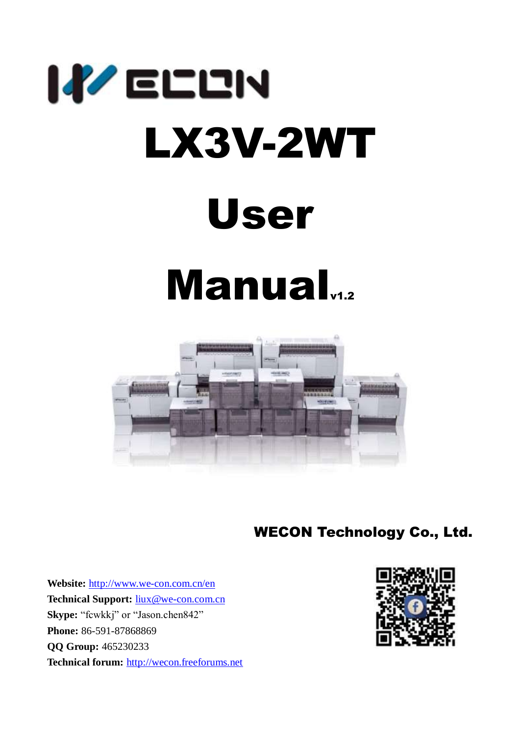

# Manual



WECON Technology Co., Ltd.

**Website:** <http://www.we-con.com.cn/en> **Technical Support:** [liux@we-con.com.cn](mailto:liux@we-con.com.cn) **Skype:** "fcwkkj" or "Jason.chen842" **Phone:** 86-591-87868869 **QQ Group:** 465230233 **Technical forum:** http://wecon.freeforums.net

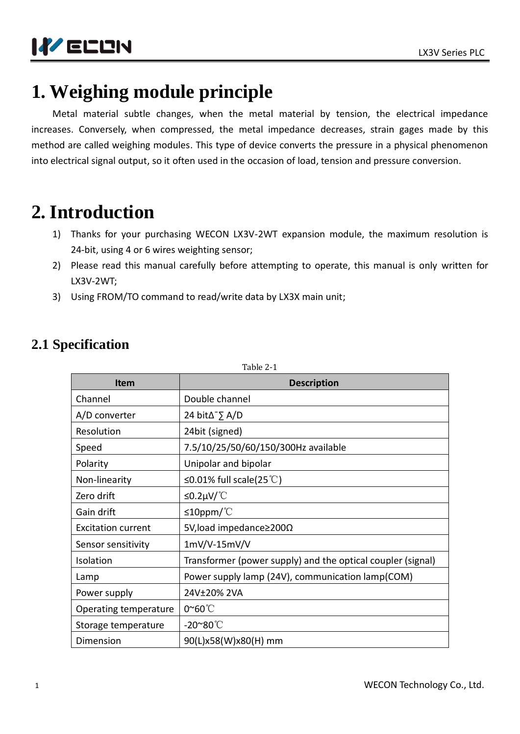



# **1. Weighing module principle**

Metal material subtle changes, when the metal material by tension, the electrical impedance increases. Conversely, when compressed, the metal impedance decreases, strain gages made by this method are called weighing modules. This type of device converts the pressure in a physical phenomenon into electrical signal output, so it often used in the occasion of load, tension and pressure conversion.

# **2. Introduction**

- 1) Thanks for your purchasing WECON LX3V-2WT expansion module, the maximum resolution is 24-bit, using 4 or 6 wires weighting sensor;
- 2) Please read this manual carefully before attempting to operate, this manual is only written for LX3V-2WT;
- 3) Using FROM/TO command to read/write data by LX3X main unit;

| <b>Item</b>               | <b>Description</b>                                          |
|---------------------------|-------------------------------------------------------------|
| Channel                   | Double channel                                              |
| A/D converter             | 24 bit $\Delta \supseteq A/D$                               |
| Resolution                | 24bit (signed)                                              |
| Speed                     | 7.5/10/25/50/60/150/300Hz available                         |
| Polarity                  | Unipolar and bipolar                                        |
| Non-linearity             | ≤0.01% full scale(25 °C)                                    |
| Zero drift                | ≤0.2μV/ $°C$                                                |
| Gain drift                | $\leq$ 10ppm/°C                                             |
| <b>Excitation current</b> | 5V, load impedance≥200Ω                                     |
| Sensor sensitivity        | $1mV/V-15mV/V$                                              |
| Isolation                 | Transformer (power supply) and the optical coupler (signal) |
| Lamp                      | Power supply lamp (24V), communication lamp(COM)            |
| Power supply              | 24V±20% 2VA                                                 |
| Operating temperature     | $0^{\sim}60^{\circ}$                                        |
| Storage temperature       | $-20^{\sim}80^{\circ}$ C                                    |
| Dimension                 | 90(L)x58(W)x80(H) mm                                        |

### **2.1 Specification**

 $Table 2-1$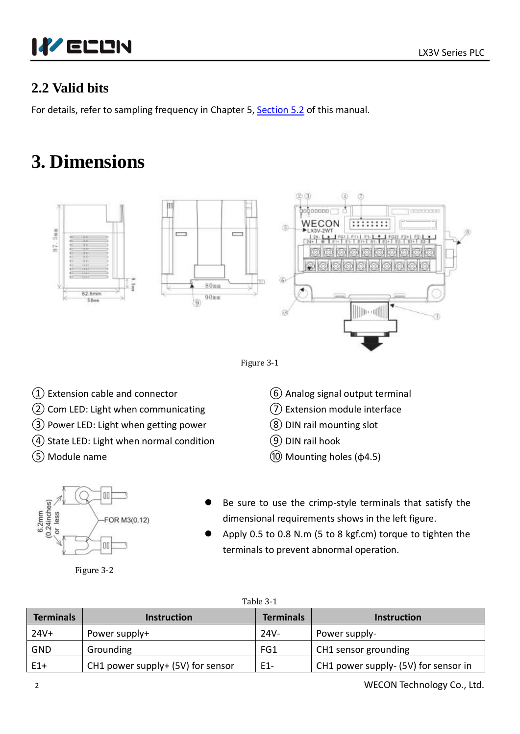

### **2.2 Valid bits**

For details, refer to sampling frequency in Chapter 5, [Section 5.2](#page-7-0) of this manual.

# **3. Dimensions**





- $(1)$  Extension cable and connector
- ② Com LED: Light when communicating
- ③ Power LED: Light when getting power
- ④ State LED: Light when normal condition
- ⑤ Module name
- ⑥ Analog signal output terminal
- ⑦ Extension module interface
- ⑧ DIN rail mounting slot
- ⑨ DIN rail hook
- ⑩ Mounting holes (φ4.5)



Figure 3-2

- Be sure to use the crimp-style terminals that satisfy the dimensional requirements shows in the left figure.
- Apply 0.5 to 0.8 N.m (5 to 8 kgf.cm) torque to tighten the terminals to prevent abnormal operation.

| Table 3-1        |                                   |                  |                                      |  |  |  |
|------------------|-----------------------------------|------------------|--------------------------------------|--|--|--|
| <b>Terminals</b> | <b>Instruction</b>                | <b>Terminals</b> | <b>Instruction</b>                   |  |  |  |
| 24V+             | Power supply+                     | $24V -$          | Power supply-                        |  |  |  |
| <b>GND</b>       | Grounding                         | FG1              | CH1 sensor grounding                 |  |  |  |
| $E1+$            | CH1 power supply+ (5V) for sensor | E1-              | CH1 power supply- (5V) for sensor in |  |  |  |

2 WECON Technology Co., Ltd.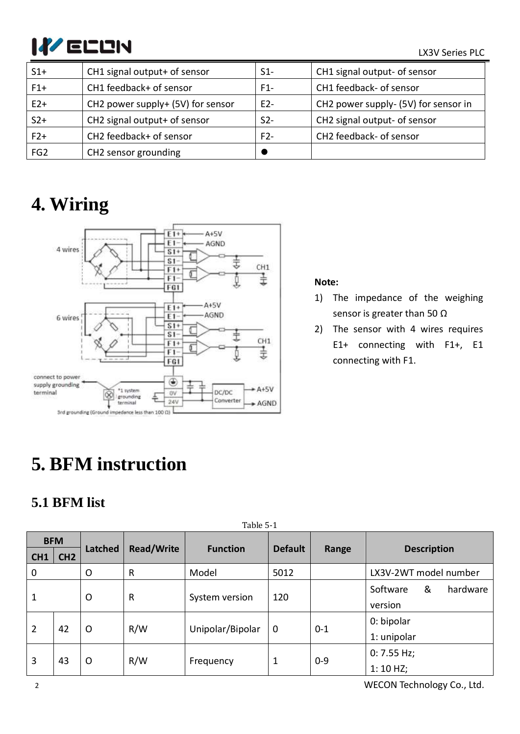# LX3V Series PLC

| $S1+$           | CH1 signal output+ of sensor      | $S1-$ | CH1 signal output- of sensor         |
|-----------------|-----------------------------------|-------|--------------------------------------|
| $F1+$           | CH1 feedback+ of sensor           | $F1-$ | CH1 feedback- of sensor              |
| $E2+$           | CH2 power supply+ (5V) for sensor | $E2-$ | CH2 power supply- (5V) for sensor in |
| $S2+$           | CH2 signal output+ of sensor      | $S2-$ | CH2 signal output- of sensor         |
| $F2+$           | CH2 feedback+ of sensor           | $F2-$ | CH2 feedback- of sensor              |
| FG <sub>2</sub> | CH2 sensor grounding              |       |                                      |

# **4. Wiring**



#### **Note:**

- 1) The impedance of the weighing sensor is greater than 50 Ω
- 2) The sensor with 4 wires requires E1+ connecting with F1+, E1 connecting with F1.

# **5. BFM instruction**

### **5.1 BFM list**

|                 | Table 5-1       |                |                   |                  |                |             |                           |
|-----------------|-----------------|----------------|-------------------|------------------|----------------|-------------|---------------------------|
|                 | <b>BFM</b>      |                |                   |                  |                |             |                           |
| CH <sub>1</sub> | CH <sub>2</sub> | Latched        | <b>Read/Write</b> | <b>Function</b>  | <b>Default</b> | Range       | <b>Description</b>        |
| 0               |                 | O              | R                 | Model            | 5012           |             | LX3V-2WT model number     |
|                 |                 |                |                   |                  |                |             | &<br>Software<br>hardware |
|                 |                 | $\mathsf{O}$   | R                 | System version   | 120            |             | version                   |
|                 |                 |                |                   |                  |                |             | 0: bipolar                |
| $\overline{2}$  | 42              | $\circ$        | R/W               | Unipolar/Bipolar | $\mathbf 0$    | $0 - 1$     | 1: unipolar               |
|                 |                 |                |                   |                  |                | 0: 7.55 Hz; |                           |
|                 | 3<br>43         | R/W<br>$\circ$ | Frequency         | 1                | $0 - 9$        | 1:10 HZ;    |                           |

2 WECON Technology Co., Ltd.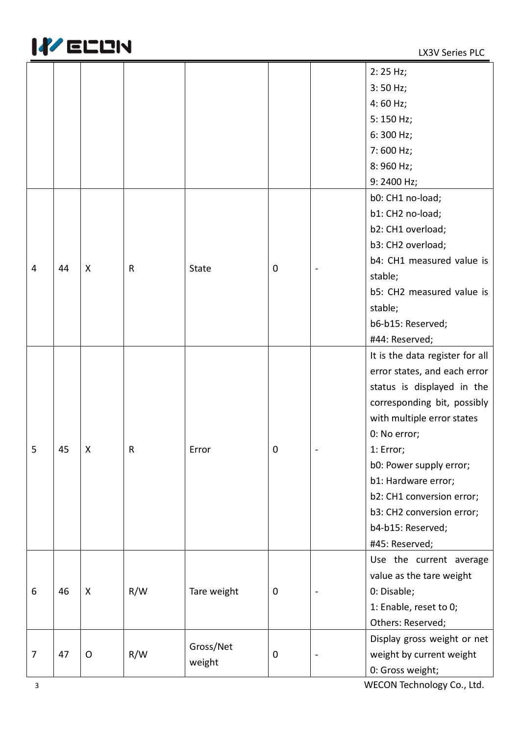

|                |    |         |              |              |   |  | 2:25 Hz;                        |
|----------------|----|---------|--------------|--------------|---|--|---------------------------------|
|                |    |         |              |              |   |  | $3:50$ Hz;                      |
|                |    |         |              |              |   |  | $4:60$ Hz;                      |
|                |    |         |              |              |   |  | $5:150$ Hz;                     |
|                |    |         |              |              |   |  | 6:300 Hz;                       |
|                |    |         |              |              |   |  | 7:600 Hz;                       |
|                |    |         |              |              |   |  |                                 |
|                |    |         |              |              |   |  | 8:960 Hz;                       |
|                |    |         |              |              |   |  | 9:2400 Hz;                      |
|                |    |         |              |              |   |  | b0: CH1 no-load;                |
|                |    |         |              |              |   |  | b1: CH2 no-load;                |
|                |    |         |              |              |   |  | b2: CH1 overload;               |
|                |    |         |              |              |   |  | b3: CH2 overload;               |
| $\overline{4}$ | 44 | X       | $\mathsf{R}$ | <b>State</b> | 0 |  | b4: CH1 measured value is       |
|                |    |         |              |              |   |  | stable;                         |
|                |    |         |              |              |   |  | b5: CH2 measured value is       |
|                |    |         |              |              |   |  | stable;                         |
|                |    |         |              |              |   |  | b6-b15: Reserved;               |
|                |    |         |              |              |   |  | #44: Reserved;                  |
|                |    |         |              |              |   |  | It is the data register for all |
|                |    |         |              |              |   |  | error states, and each error    |
|                |    |         |              | Error        | 0 |  | status is displayed in the      |
|                |    |         |              |              |   |  | corresponding bit, possibly     |
|                |    |         | R            |              |   |  | with multiple error states      |
|                |    | Χ       |              |              |   |  | 0: No error;                    |
| 5              | 45 |         |              |              |   |  | 1: Error;                       |
|                |    |         |              |              |   |  | b0: Power supply error;         |
|                |    |         |              |              |   |  | b1: Hardware error;             |
|                |    |         |              |              |   |  | b2: CH1 conversion error;       |
|                |    |         |              |              |   |  | b3: CH2 conversion error;       |
|                |    |         |              |              |   |  | b4-b15: Reserved;               |
|                |    |         |              |              |   |  | #45: Reserved;                  |
|                |    |         |              |              |   |  | Use the current average         |
|                |    |         |              |              |   |  | value as the tare weight        |
| 6              | 46 | X       | R/W          | Tare weight  | 0 |  | 0: Disable;                     |
|                |    |         |              |              |   |  | 1: Enable, reset to 0;          |
|                |    |         |              |              |   |  | Others: Reserved;               |
|                |    |         |              |              |   |  |                                 |
|                |    |         |              | Gross/Net    |   |  | Display gross weight or net     |
| 7              | 47 | $\circ$ | R/W          | weight       | 0 |  | weight by current weight        |
|                |    |         |              |              |   |  | 0: Gross weight;                |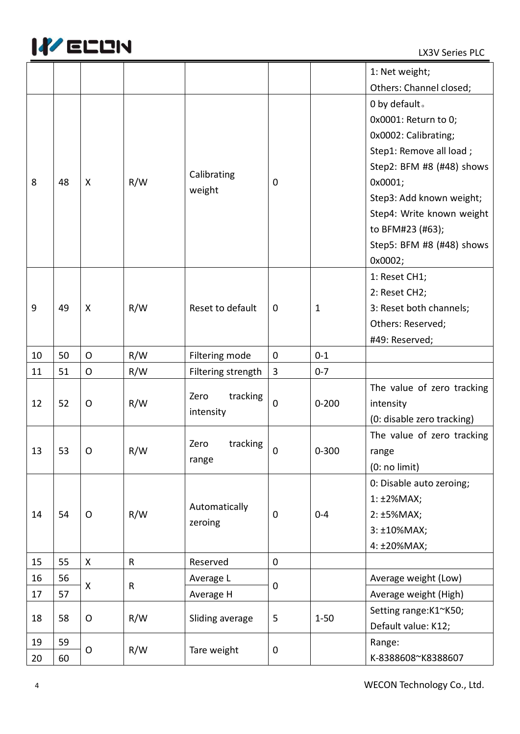

|    |    |              |              |                           |              |           | 1: Net weight;             |                    |
|----|----|--------------|--------------|---------------------------|--------------|-----------|----------------------------|--------------------|
|    |    |              |              |                           |              |           | Others: Channel closed;    |                    |
|    |    |              |              |                           |              |           | 0 by default.              |                    |
|    |    |              |              |                           |              |           | 0x0001: Return to 0;       |                    |
|    |    |              |              |                           |              |           | 0x0002: Calibrating;       |                    |
|    |    |              |              |                           |              |           | Step1: Remove all load;    |                    |
|    |    |              |              |                           |              |           | Step2: BFM #8 (#48) shows  |                    |
| 8  | 48 | X            | R/W          | Calibrating               | 0            |           | 0x0001;                    |                    |
|    |    |              |              | weight                    |              |           | Step3: Add known weight;   |                    |
|    |    |              |              |                           |              |           | Step4: Write known weight  |                    |
|    |    |              |              |                           |              |           | to BFM#23 (#63);           |                    |
|    |    |              |              |                           |              |           | Step5: BFM #8 (#48) shows  |                    |
|    |    |              |              |                           |              |           | 0x0002;                    |                    |
|    |    |              |              |                           |              |           | 1: Reset CH1;              |                    |
|    |    |              |              |                           |              |           | 2: Reset CH2;              |                    |
| 9  | 49 | X            | R/W          | Reset to default          | $\mathbf 0$  | 1         | 3: Reset both channels;    |                    |
|    |    |              |              |                           |              |           | Others: Reserved;          |                    |
|    |    |              |              |                           |              |           | #49: Reserved;             |                    |
| 10 | 50 | $\mathsf{O}$ | R/W          | Filtering mode            | $\pmb{0}$    | $0 - 1$   |                            |                    |
| 11 | 51 | O            | R/W          | Filtering strength        | $\mathbf{3}$ | $0 - 7$   |                            |                    |
|    |    |              |              | tracking<br>Zero          |              |           | The value of zero tracking |                    |
| 12 | 52 | O            | R/W          | intensity                 | $\mathbf 0$  | $0 - 200$ | intensity                  |                    |
|    |    |              |              |                           |              |           | (0: disable zero tracking) |                    |
|    |    |              | R/W          | tracking<br>Zero<br>range | 0            | $0 - 300$ | The value of zero tracking |                    |
| 13 | 53 | O            |              |                           |              |           | range                      |                    |
|    |    |              |              |                           |              |           | (0: no limit)              |                    |
|    |    |              |              |                           |              |           | 0: Disable auto zeroing;   |                    |
|    |    |              |              | Automatically             |              |           | 1:±2%MAX;                  |                    |
| 14 | 54 | O            | R/W          | zeroing                   | $\mathbf 0$  | $0 - 4$   | 2: ±5%MAX;                 |                    |
|    |    |              |              |                           |              |           | 3: ±10%MAX;                |                    |
|    |    |              |              |                           |              |           | 4: ±20%MAX;                |                    |
| 15 | 55 | X            | $\mathsf{R}$ | Reserved                  | $\mathbf 0$  |           |                            |                    |
| 16 | 56 | X            | $\mathsf R$  | Average L                 | $\mathbf 0$  |           | Average weight (Low)       |                    |
| 17 | 57 |              |              | Average H                 |              |           | Average weight (High)      |                    |
| 18 | 58 | O            | R/W          | Sliding average           | 5            | $1 - 50$  | Setting range:K1~K50;      |                    |
|    |    |              |              |                           |              |           | Default value: K12;        |                    |
| 19 | 59 |              | R/W          | Tare weight               | $\mathbf 0$  |           | Range:                     |                    |
| 20 | 60 | O            |              |                           |              |           |                            | K-8388608~K8388607 |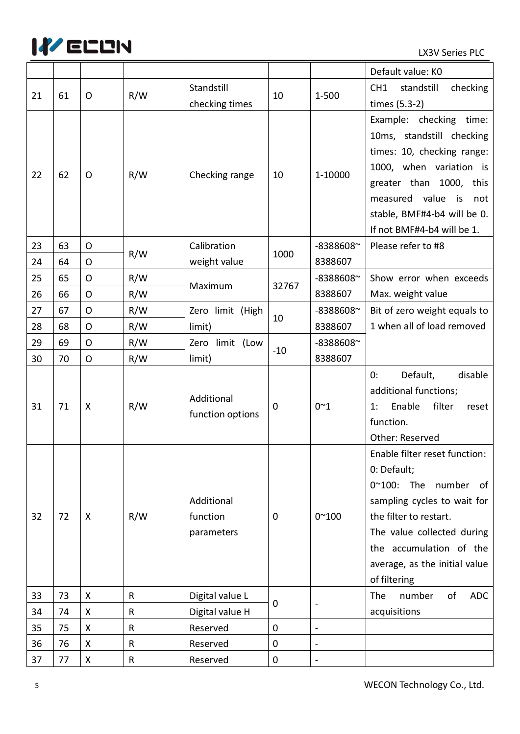

|    |    |              |     |                                      |             |                          | Default value: KO                                                                                                                                                                                                                       |
|----|----|--------------|-----|--------------------------------------|-------------|--------------------------|-----------------------------------------------------------------------------------------------------------------------------------------------------------------------------------------------------------------------------------------|
| 21 | 61 | O            | R/W | Standstill                           | 10          | 1-500                    | CH <sub>1</sub><br>standstill<br>checking                                                                                                                                                                                               |
|    |    |              |     | checking times                       |             |                          | times (5.3-2)                                                                                                                                                                                                                           |
| 22 | 62 | O            | R/W | Checking range                       | 10          | 1-10000                  | Example: checking time:<br>10ms, standstill checking<br>times: 10, checking range:<br>1000, when variation is                                                                                                                           |
|    |    |              |     |                                      |             |                          | greater than 1000, this<br>measured value<br>is is<br>not<br>stable, BMF#4-b4 will be 0.<br>If not BMF#4-b4 will be 1.                                                                                                                  |
| 23 | 63 | $\mathsf{O}$ |     | Calibration                          |             | -8388608~                | Please refer to #8                                                                                                                                                                                                                      |
| 24 | 64 | $\mathsf{O}$ | R/W | weight value                         | 1000        | 8388607                  |                                                                                                                                                                                                                                         |
| 25 | 65 | $\mathsf{O}$ | R/W | Maximum                              | 32767       | -8388608~                | Show error when exceeds                                                                                                                                                                                                                 |
| 26 | 66 | $\circ$      | R/W |                                      |             | 8388607                  | Max. weight value                                                                                                                                                                                                                       |
| 27 | 67 | $\circ$      | R/W | Zero limit (High                     | 10          | -8388608~                | Bit of zero weight equals to                                                                                                                                                                                                            |
| 28 | 68 | $\mathsf{O}$ | R/W | limit)                               |             | 8388607                  | 1 when all of load removed                                                                                                                                                                                                              |
| 29 | 69 | $\mathsf{O}$ | R/W | Zero limit (Low                      | $-10$       | -8388608~                |                                                                                                                                                                                                                                         |
| 30 | 70 | $\mathsf{O}$ | R/W | limit)                               |             | 8388607                  |                                                                                                                                                                                                                                         |
| 31 | 71 | X            | R/W | Additional<br>function options       | $\mathbf 0$ | $0^{\sim}1$              | Default,<br>disable<br>0:<br>additional functions;<br>Enable<br>filter<br>1:<br>reset<br>function.<br>Other: Reserved                                                                                                                   |
| 32 | 72 | X            | R/W | Additional<br>function<br>parameters | $\mathbf 0$ | $0^{\sim}100$            | Enable filter reset function:<br>0: Default;<br>0~100: The number of<br>sampling cycles to wait for<br>the filter to restart.<br>The value collected during<br>the accumulation of the<br>average, as the initial value<br>of filtering |
| 33 | 73 | X            | R   | Digital value L                      |             |                          | The<br>number<br>of<br><b>ADC</b>                                                                                                                                                                                                       |
| 34 |    |              |     |                                      | 0           | $\overline{\phantom{a}}$ |                                                                                                                                                                                                                                         |
|    | 74 | X            | R   | Digital value H                      |             |                          | acquisitions                                                                                                                                                                                                                            |
| 35 | 75 | Χ            | R   | Reserved                             | $\mathbf 0$ | $\overline{\phantom{a}}$ |                                                                                                                                                                                                                                         |
| 36 | 76 | X            | R   | Reserved                             | $\mathbf 0$ | $\overline{\phantom{0}}$ |                                                                                                                                                                                                                                         |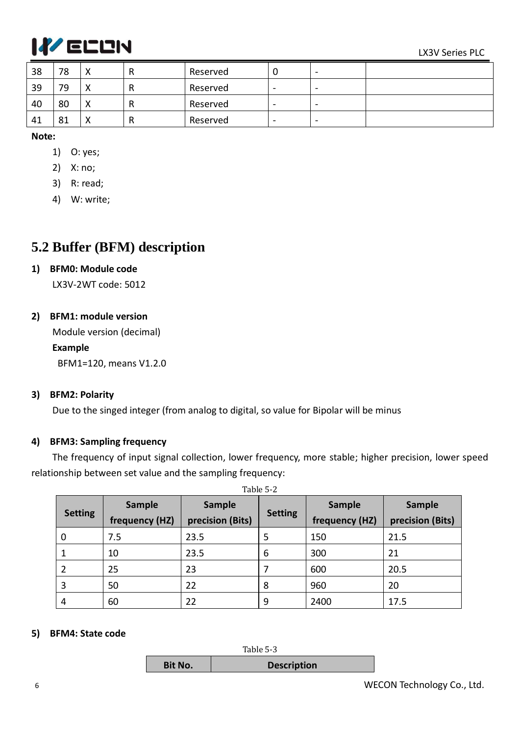

| 38 | 78 | v<br>↗       | R | Reserved | υ                        | $\,$           |  |
|----|----|--------------|---|----------|--------------------------|----------------|--|
| 39 | 79 | v<br>↗       | R | Reserved | $\overline{\phantom{0}}$ | $\blacksquare$ |  |
| 40 | 80 | v<br>↗       | R | Reserved | $\overline{\phantom{0}}$ | $\blacksquare$ |  |
| 41 | 81 | $\cdot$<br>↗ | R | Reserved | $\overline{\phantom{0}}$ | $\blacksquare$ |  |

#### **Note:**

- 1) O: yes;
- 2) X: no;
- 3) R: read;
- 4) W: write;

### <span id="page-7-0"></span>**5.2 Buffer (BFM) description**

#### **1) BFM0: Module code**

LX3V-2WT code: 5012

#### **2) BFM1: module version**

Module version (decimal)

#### **Example**

BFM1=120, means V1.2.0

#### **3) BFM2: Polarity**

Due to the singed integer (from analog to digital, so value for Bipolar will be minus

#### **4) BFM3: Sampling frequency**

The frequency of input signal collection, lower frequency, more stable; higher precision, lower speed relationship between set value and the sampling frequency:

|                |                          |                                   | Table 5-2      |                                 |                            |
|----------------|--------------------------|-----------------------------------|----------------|---------------------------------|----------------------------|
| <b>Setting</b> | Sample<br>frequency (HZ) | <b>Sample</b><br>precision (Bits) | <b>Setting</b> | <b>Sample</b><br>frequency (HZ) | Sample<br>precision (Bits) |
|                |                          |                                   |                |                                 |                            |
| 0              | 7.5                      | 23.5                              | 5              | 150                             | 21.5                       |
|                | 10                       | 23.5                              | 6              | 300                             | 21                         |
|                | 25                       | 23                                |                | 600                             | 20.5                       |
| 3              | 50                       | 22                                | 8              | 960                             | 20                         |
| 4              | 60                       | 22                                | 9              | 2400                            | 17.5                       |

#### **5) BFM4: State code**



6 WECON Technology Co., Ltd.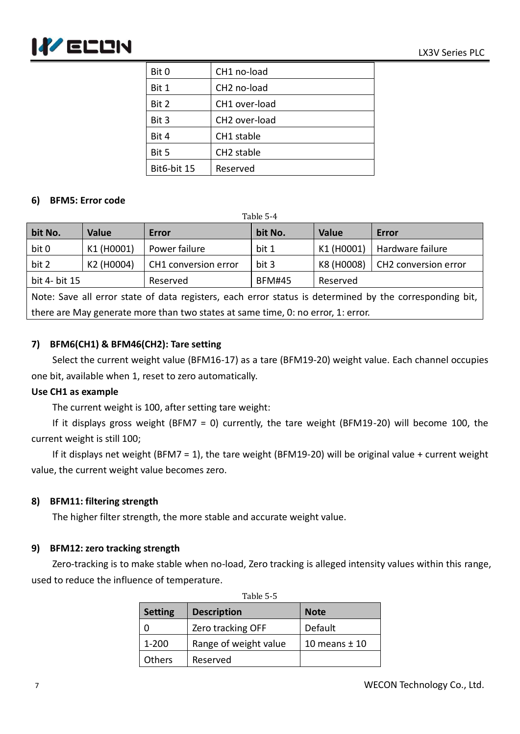

| Bit 0       | CH1 no-load               |
|-------------|---------------------------|
| Bit 1       | CH <sub>2</sub> no-load   |
| Bit 2       | CH1 over-load             |
| Bit 3       | CH <sub>2</sub> over-load |
| Bit 4       | CH1 stable                |
| Bit 5       | CH <sub>2</sub> stable    |
| Bit6-bit 15 | Reserved                  |

#### **6) BFM5: Error code**

| Table 5-4                                                                                          |              |                      |               |            |                      |  |  |
|----------------------------------------------------------------------------------------------------|--------------|----------------------|---------------|------------|----------------------|--|--|
| bit No.                                                                                            | <b>Value</b> | Error                | bit No.       | Value      | Error                |  |  |
| bit 0                                                                                              | K1 (H0001)   | Power failure        | bit 1         | K1 (H0001) | Hardware failure     |  |  |
| bit 2                                                                                              | K2 (H0004)   | CH1 conversion error | bit 3         | K8 (H0008) | CH2 conversion error |  |  |
| bit 4- bit 15                                                                                      |              | Reserved             | <b>BFM#45</b> | Reserved   |                      |  |  |
| hip Cave in arror state of data registers each error status is determined by the corresponding bit |              |                      |               |            |                      |  |  |

Note: Save all error state of data registers, each error status is determined by the corresponding bit, there are May generate more than two states at same time, 0: no error, 1: error.

#### **7) BFM6(CH1) & BFM46(CH2): Tare setting**

Select the current weight value (BFM16-17) as a tare (BFM19-20) weight value. Each channel occupies one bit, available when 1, reset to zero automatically.

#### **Use CH1 as example**

The current weight is 100, after setting tare weight:

If it displays gross weight (BFM7 = 0) currently, the tare weight (BFM19-20) will become 100, the current weight is still 100;

If it displays net weight (BFM7 = 1), the tare weight (BFM19-20) will be original value + current weight value, the current weight value becomes zero.

#### **8) BFM11: filtering strength**

The higher filter strength, the more stable and accurate weight value.

#### **9) BFM12: zero tracking strength**

Zero-tracking is to make stable when no-load, Zero tracking is alleged intensity values within this range, used to reduce the influence of temperature.

| Table 5-5      |                       |                   |  |  |  |  |
|----------------|-----------------------|-------------------|--|--|--|--|
| <b>Setting</b> | <b>Description</b>    | <b>Note</b>       |  |  |  |  |
|                | Zero tracking OFF     | Default           |  |  |  |  |
| $1 - 200$      | Range of weight value | 10 means $\pm$ 10 |  |  |  |  |
| Others         | Reserved              |                   |  |  |  |  |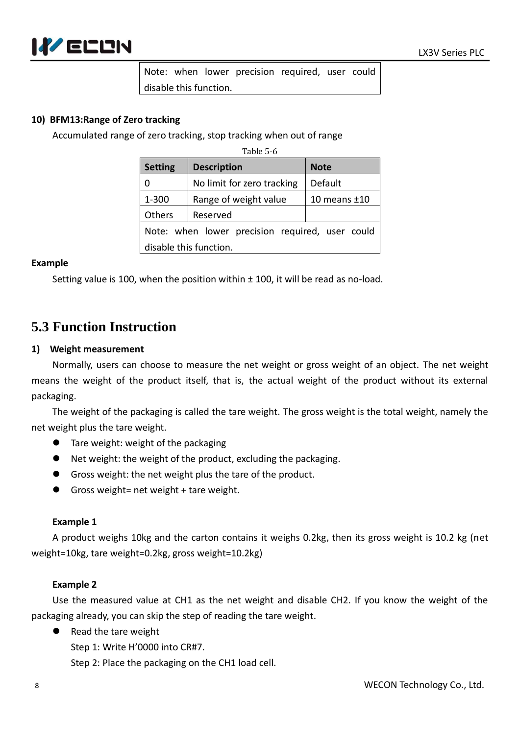

Note: when lower precision required, user could disable this function.

#### **10) BFM13:Range of Zero tracking**

Accumulated range of zero tracking, stop tracking when out of range

Table 5-6

| <b>Setting</b>                                  | <b>Description</b>         | <b>Note</b>    |  |  |  |
|-------------------------------------------------|----------------------------|----------------|--|--|--|
|                                                 | No limit for zero tracking | Default        |  |  |  |
| 1-300                                           | Range of weight value      | 10 means $±10$ |  |  |  |
| Others                                          | Reserved                   |                |  |  |  |
| Note: when lower precision required, user could |                            |                |  |  |  |
| disable this function.                          |                            |                |  |  |  |

#### **Example**

Setting value is 100, when the position within ± 100, it will be read as no-load.

### **5.3 Function Instruction**

#### **1) Weight measurement**

Normally, users can choose to measure the net weight or gross weight of an object. The net weight means the weight of the product itself, that is, the actual weight of the product without its external packaging.

The weight of the packaging is called the tare weight. The gross weight is the total weight, namely the net weight plus the tare weight.

- **Tare weight: weight of the packaging**
- Net weight: the weight of the product, excluding the packaging.
- Gross weight: the net weight plus the tare of the product.
- Gross weight= net weight + tare weight.

#### **Example 1**

A product weighs 10kg and the carton contains it weighs 0.2kg, then its gross weight is 10.2 kg (net weight=10kg, tare weight=0.2kg, gross weight=10.2kg)

#### **Example 2**

Use the measured value at CH1 as the net weight and disable CH2. If you know the weight of the packaging already, you can skip the step of reading the tare weight.

● Read the tare weight

Step 1: Write H'0000 into CR#7.

Step 2: Place the packaging on the CH1 load cell.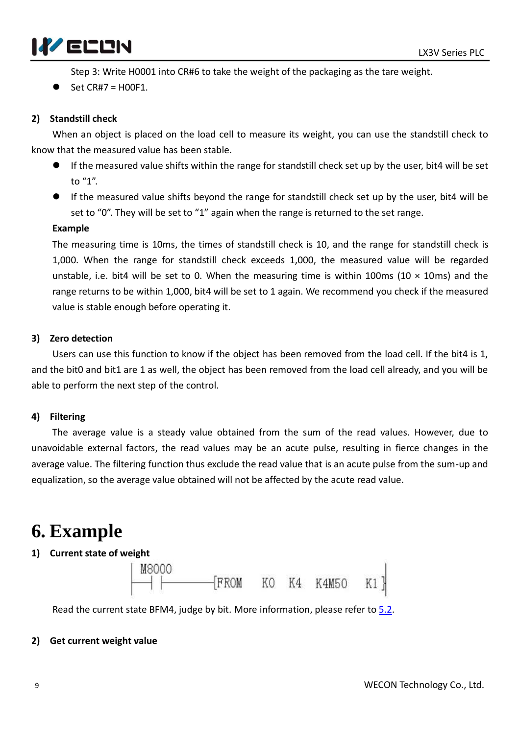

Step 3: Write H0001 into CR#6 to take the weight of the packaging as the tare weight.

Set CR#7 = H00F1.

#### **2) Standstill check**

When an object is placed on the load cell to measure its weight, you can use the standstill check to know that the measured value has been stable.

- If the measured value shifts within the range for standstill check set up by the user, bit4 will be set to "1".
- If the measured value shifts beyond the range for standstill check set up by the user, bit4 will be set to "0". They will be set to "1" again when the range is returned to the set range.

#### **Example**

The measuring time is 10ms, the times of standstill check is 10, and the range for standstill check is 1,000. When the range for standstill check exceeds 1,000, the measured value will be regarded unstable, i.e. bit4 will be set to 0. When the measuring time is within 100ms (10  $\times$  10ms) and the range returns to be within 1,000, bit4 will be set to 1 again. We recommend you check if the measured value is stable enough before operating it.

#### **3) Zero detection**

Users can use this function to know if the object has been removed from the load cell. If the bit4 is 1, and the bit0 and bit1 are 1 as well, the object has been removed from the load cell already, and you will be able to perform the next step of the control.

#### **4) Filtering**

The average value is a steady value obtained from the sum of the read values. However, due to unavoidable external factors, the read values may be an acute pulse, resulting in fierce changes in the average value. The filtering function thus exclude the read value that is an acute pulse from the sum-up and equalization, so the average value obtained will not be affected by the acute read value.

## **6. Example**

#### **1) Current state of weight**



Read the current state BFM4, judge by bit. More information, please refer to [5.2.](#page-7-0)

#### **2) Get current weight value**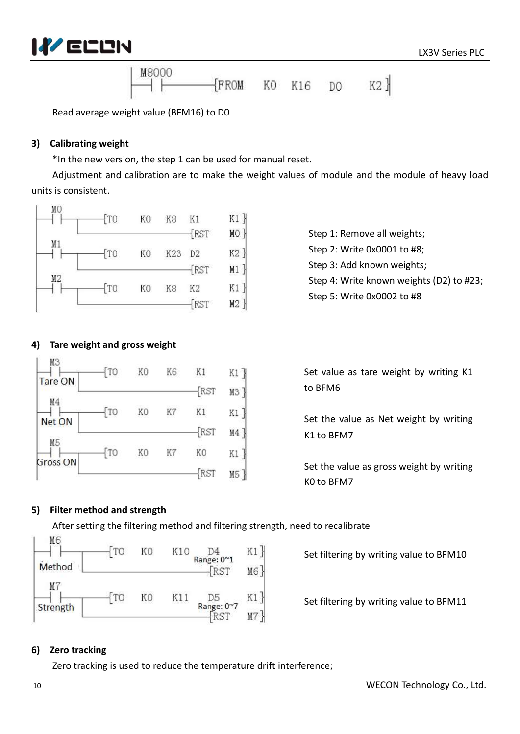



Read average weight value (BFM16) to D0

#### **3) Calibrating weight**

\*In the new version, the step 1 can be used for manual reset.

Adjustment and calibration are to make the weight values of module and the module of heavy load units is consistent.



Step 1: Remove all weights; Step 2: Write 0x0001 to #8; Step 3: Add known weights; Step 4: Write known weights (D2) to #23; Step 5: Write 0x0002 to #8

#### **4) Tare weight and gross weight**



Set value as tare weight by writing K1 to BFM6

Set the value as Net weight by writing K1 to BFM7

Set the value as gross weight by writing K0 to BFM7

#### **5) Filter method and strength**

After setting the filtering method and filtering strength, need to recalibrate

| ---<br>Method | $T_{\rm CO}$ | KO | K10 | D4<br>Range: 0~1<br><b>RST</b> | M6] |
|---------------|--------------|----|-----|--------------------------------|-----|
| M<br>Strength |              | ĸΓ |     | D5<br>Range: 0~7               |     |

Set filtering by writing value to BFM10

Set filtering by writing value to BFM11

#### **6) Zero tracking**

Zero tracking is used to reduce the temperature drift interference;

 $\mathbf{I}$ 

M<sub>6</sub>